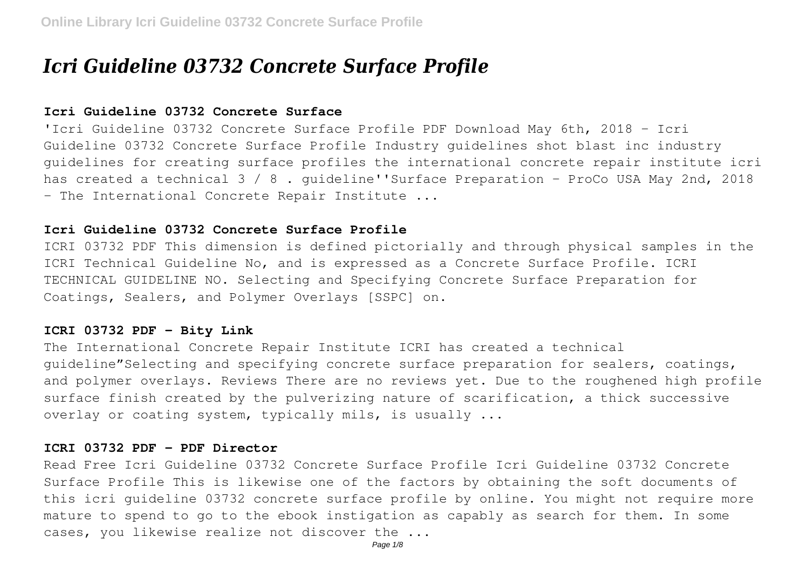# *Icri Guideline 03732 Concrete Surface Profile*

# **Icri Guideline 03732 Concrete Surface**

'Icri Guideline 03732 Concrete Surface Profile PDF Download May 6th, 2018 - Icri Guideline 03732 Concrete Surface Profile Industry guidelines shot blast inc industry guidelines for creating surface profiles the international concrete repair institute icri has created a technical 3 / 8. quideline''Surface Preparation - ProCo USA May 2nd, 2018 - The International Concrete Repair Institute ...

# **Icri Guideline 03732 Concrete Surface Profile**

ICRI 03732 PDF This dimension is defined pictorially and through physical samples in the ICRI Technical Guideline No, and is expressed as a Concrete Surface Profile. ICRI TECHNICAL GUIDELINE NO. Selecting and Specifying Concrete Surface Preparation for Coatings, Sealers, and Polymer Overlays [SSPC] on.

# **ICRI 03732 PDF - Bity Link**

The International Concrete Repair Institute ICRI has created a technical guideline"Selecting and specifying concrete surface preparation for sealers, coatings, and polymer overlays. Reviews There are no reviews yet. Due to the roughened high profile surface finish created by the pulverizing nature of scarification, a thick successive overlay or coating system, typically mils, is usually ...

## **ICRI 03732 PDF - PDF Director**

Read Free Icri Guideline 03732 Concrete Surface Profile Icri Guideline 03732 Concrete Surface Profile This is likewise one of the factors by obtaining the soft documents of this icri guideline 03732 concrete surface profile by online. You might not require more mature to spend to go to the ebook instigation as capably as search for them. In some cases, you likewise realize not discover the ...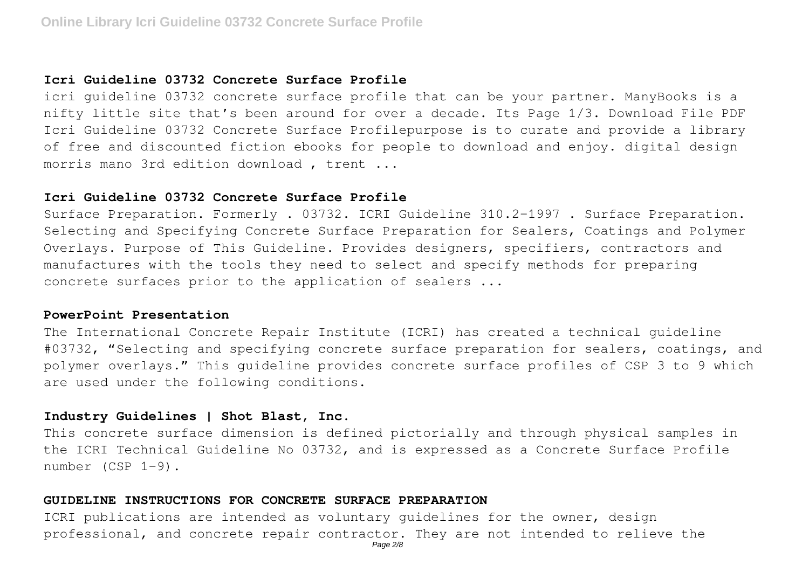## **Icri Guideline 03732 Concrete Surface Profile**

icri guideline 03732 concrete surface profile that can be your partner. ManyBooks is a nifty little site that's been around for over a decade. Its Page 1/3. Download File PDF Icri Guideline 03732 Concrete Surface Profilepurpose is to curate and provide a library of free and discounted fiction ebooks for people to download and enjoy. digital design morris mano 3rd edition download , trent ...

#### **Icri Guideline 03732 Concrete Surface Profile**

Surface Preparation. Formerly . 03732. ICRI Guideline 310.2-1997 . Surface Preparation. Selecting and Specifying Concrete Surface Preparation for Sealers, Coatings and Polymer Overlays. Purpose of This Guideline. Provides designers, specifiers, contractors and manufactures with the tools they need to select and specify methods for preparing concrete surfaces prior to the application of sealers ...

#### **PowerPoint Presentation**

The International Concrete Repair Institute (ICRI) has created a technical guideline #03732, "Selecting and specifying concrete surface preparation for sealers, coatings, and polymer overlays." This guideline provides concrete surface profiles of CSP 3 to 9 which are used under the following conditions.

# **Industry Guidelines | Shot Blast, Inc.**

This concrete surface dimension is defined pictorially and through physical samples in the ICRI Technical Guideline No 03732, and is expressed as a Concrete Surface Profile number (CSP 1-9).

#### **GUIDELINE INSTRUCTIONS FOR CONCRETE SURFACE PREPARATION**

ICRI publications are intended as voluntary guidelines for the owner, design professional, and concrete repair contractor. They are not intended to relieve the Page 2/8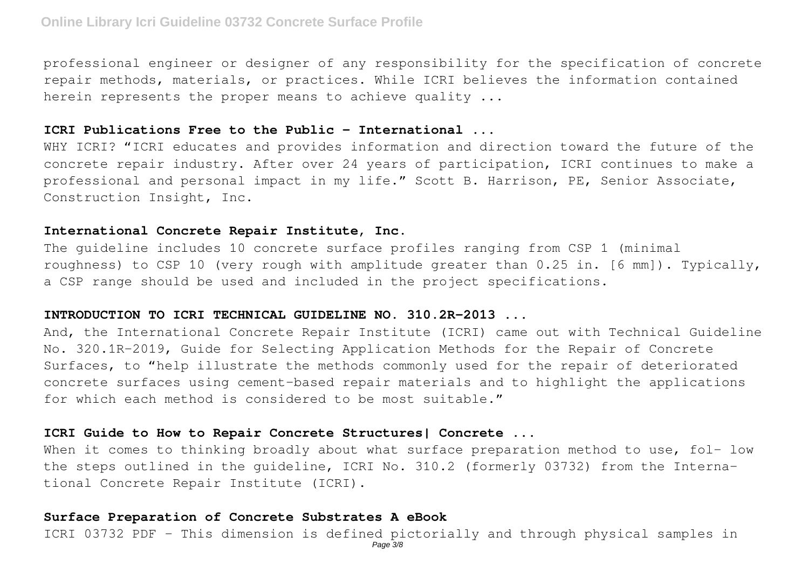professional engineer or designer of any responsibility for the specification of concrete repair methods, materials, or practices. While ICRI believes the information contained herein represents the proper means to achieve quality ...

## **ICRI Publications Free to the Public - International ...**

WHY ICRI? "ICRI educates and provides information and direction toward the future of the concrete repair industry. After over 24 years of participation, ICRI continues to make a professional and personal impact in my life." Scott B. Harrison, PE, Senior Associate, Construction Insight, Inc.

# **International Concrete Repair Institute, Inc.**

The guideline includes 10 concrete surface profiles ranging from CSP 1 (minimal roughness) to CSP 10 (very rough with amplitude greater than 0.25 in. [6 mm]). Typically, a CSP range should be used and included in the project specifications.

# **INTRODUCTION TO ICRI TECHNICAL GUIDELINE NO. 310.2R-2013 ...**

And, the International Concrete Repair Institute (ICRI) came out with Technical Guideline No. 320.1R-2019, Guide for Selecting Application Methods for the Repair of Concrete Surfaces, to "help illustrate the methods commonly used for the repair of deteriorated concrete surfaces using cement-based repair materials and to highlight the applications for which each method is considered to be most suitable."

# **ICRI Guide to How to Repair Concrete Structures| Concrete ...**

When it comes to thinking broadly about what surface preparation method to use, fol- low the steps outlined in the guideline, ICRI No. 310.2 (formerly 03732) from the International Concrete Repair Institute (ICRI).

## **Surface Preparation of Concrete Substrates A eBook**

ICRI 03732 PDF - This dimension is defined pictorially and through physical samples in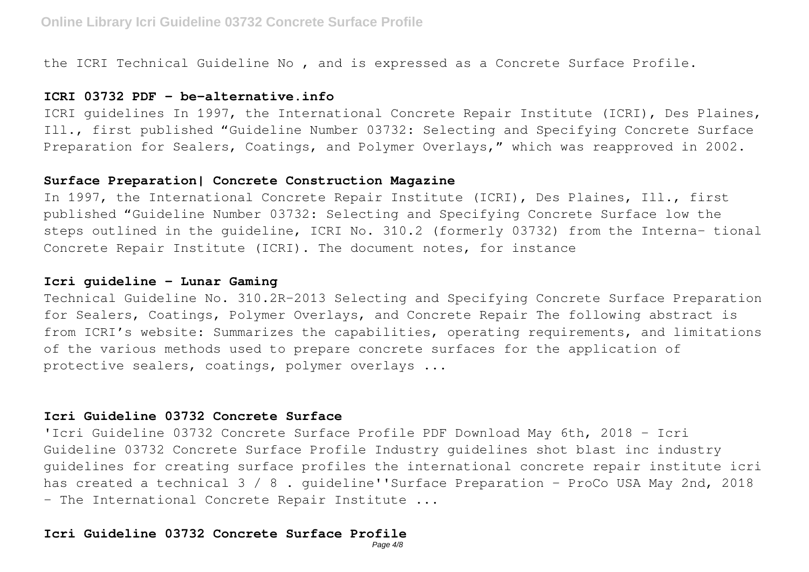the ICRI Technical Guideline No , and is expressed as a Concrete Surface Profile.

## **ICRI 03732 PDF - be-alternative.info**

ICRI guidelines In 1997, the International Concrete Repair Institute (ICRI), Des Plaines, Ill., first published "Guideline Number 03732: Selecting and Specifying Concrete Surface Preparation for Sealers, Coatings, and Polymer Overlays," which was reapproved in 2002.

#### **Surface Preparation| Concrete Construction Magazine**

In 1997, the International Concrete Repair Institute (ICRI), Des Plaines, Ill., first published "Guideline Number 03732: Selecting and Specifying Concrete Surface low the steps outlined in the guideline, ICRI No. 310.2 (formerly 03732) from the Interna- tional Concrete Repair Institute (ICRI). The document notes, for instance

## **Icri guideline - Lunar Gaming**

Technical Guideline No. 310.2R-2013 Selecting and Specifying Concrete Surface Preparation for Sealers, Coatings, Polymer Overlays, and Concrete Repair The following abstract is from ICRI's website: Summarizes the capabilities, operating requirements, and limitations of the various methods used to prepare concrete surfaces for the application of protective sealers, coatings, polymer overlays ...

# **Icri Guideline 03732 Concrete Surface**

'Icri Guideline 03732 Concrete Surface Profile PDF Download May 6th, 2018 - Icri Guideline 03732 Concrete Surface Profile Industry guidelines shot blast inc industry guidelines for creating surface profiles the international concrete repair institute icri has created a technical 3 / 8. quideline''Surface Preparation - ProCo USA May 2nd, 2018 - The International Concrete Repair Institute ...

# **Icri Guideline 03732 Concrete Surface Profile**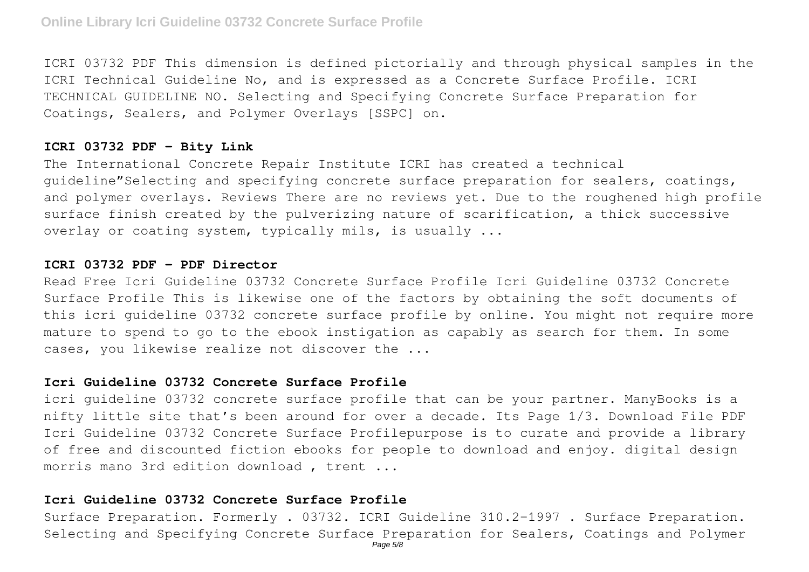ICRI 03732 PDF This dimension is defined pictorially and through physical samples in the ICRI Technical Guideline No, and is expressed as a Concrete Surface Profile. ICRI TECHNICAL GUIDELINE NO. Selecting and Specifying Concrete Surface Preparation for Coatings, Sealers, and Polymer Overlays [SSPC] on.

#### **ICRI 03732 PDF - Bity Link**

The International Concrete Repair Institute ICRI has created a technical guideline"Selecting and specifying concrete surface preparation for sealers, coatings, and polymer overlays. Reviews There are no reviews yet. Due to the roughened high profile surface finish created by the pulverizing nature of scarification, a thick successive overlay or coating system, typically mils, is usually ...

## **ICRI 03732 PDF - PDF Director**

Read Free Icri Guideline 03732 Concrete Surface Profile Icri Guideline 03732 Concrete Surface Profile This is likewise one of the factors by obtaining the soft documents of this icri guideline 03732 concrete surface profile by online. You might not require more mature to spend to go to the ebook instigation as capably as search for them. In some cases, you likewise realize not discover the ...

#### **Icri Guideline 03732 Concrete Surface Profile**

icri guideline 03732 concrete surface profile that can be your partner. ManyBooks is a nifty little site that's been around for over a decade. Its Page 1/3. Download File PDF Icri Guideline 03732 Concrete Surface Profilepurpose is to curate and provide a library of free and discounted fiction ebooks for people to download and enjoy. digital design morris mano 3rd edition download , trent ...

#### **Icri Guideline 03732 Concrete Surface Profile**

Surface Preparation. Formerly . 03732. ICRI Guideline 310.2-1997 . Surface Preparation. Selecting and Specifying Concrete Surface Preparation for Sealers, Coatings and Polymer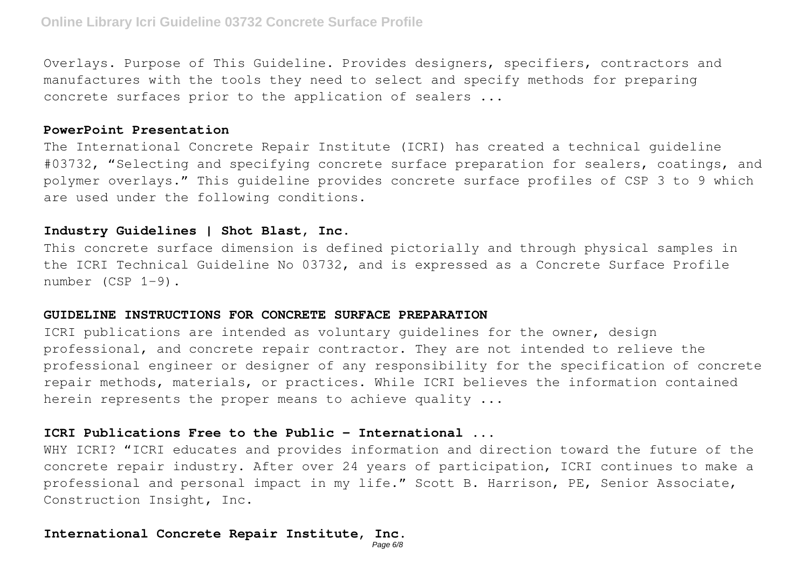Overlays. Purpose of This Guideline. Provides designers, specifiers, contractors and manufactures with the tools they need to select and specify methods for preparing concrete surfaces prior to the application of sealers ...

#### **PowerPoint Presentation**

The International Concrete Repair Institute (ICRI) has created a technical guideline #03732, "Selecting and specifying concrete surface preparation for sealers, coatings, and polymer overlays." This guideline provides concrete surface profiles of CSP 3 to 9 which are used under the following conditions.

## **Industry Guidelines | Shot Blast, Inc.**

This concrete surface dimension is defined pictorially and through physical samples in the ICRI Technical Guideline No 03732, and is expressed as a Concrete Surface Profile number (CSP 1-9).

#### **GUIDELINE INSTRUCTIONS FOR CONCRETE SURFACE PREPARATION**

ICRI publications are intended as voluntary guidelines for the owner, design professional, and concrete repair contractor. They are not intended to relieve the professional engineer or designer of any responsibility for the specification of concrete repair methods, materials, or practices. While ICRI believes the information contained herein represents the proper means to achieve quality ...

# **ICRI Publications Free to the Public - International ...**

WHY ICRI? "ICRI educates and provides information and direction toward the future of the concrete repair industry. After over 24 years of participation, ICRI continues to make a professional and personal impact in my life." Scott B. Harrison, PE, Senior Associate, Construction Insight, Inc.

#### **International Concrete Repair Institute, Inc.**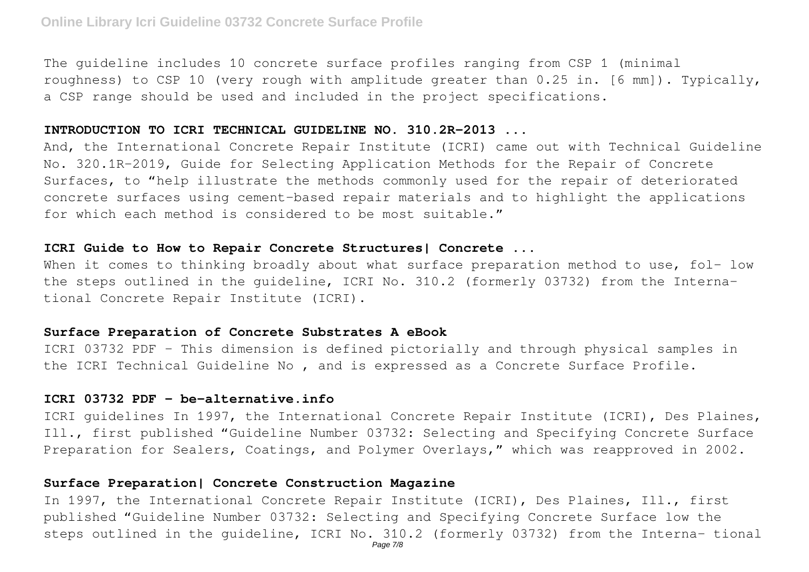The guideline includes 10 concrete surface profiles ranging from CSP 1 (minimal roughness) to CSP 10 (very rough with amplitude greater than 0.25 in. [6 mm]). Typically, a CSP range should be used and included in the project specifications.

#### **INTRODUCTION TO ICRI TECHNICAL GUIDELINE NO. 310.2R-2013 ...**

And, the International Concrete Repair Institute (ICRI) came out with Technical Guideline No. 320.1R-2019, Guide for Selecting Application Methods for the Repair of Concrete Surfaces, to "help illustrate the methods commonly used for the repair of deteriorated concrete surfaces using cement-based repair materials and to highlight the applications for which each method is considered to be most suitable."

# **ICRI Guide to How to Repair Concrete Structures| Concrete ...**

When it comes to thinking broadly about what surface preparation method to use, fol- low the steps outlined in the guideline, ICRI No. 310.2 (formerly 03732) from the International Concrete Repair Institute (ICRI).

## **Surface Preparation of Concrete Substrates A eBook**

ICRI 03732 PDF - This dimension is defined pictorially and through physical samples in the ICRI Technical Guideline No , and is expressed as a Concrete Surface Profile.

# **ICRI 03732 PDF - be-alternative.info**

ICRI guidelines In 1997, the International Concrete Repair Institute (ICRI), Des Plaines, Ill., first published "Guideline Number 03732: Selecting and Specifying Concrete Surface Preparation for Sealers, Coatings, and Polymer Overlays," which was reapproved in 2002.

## **Surface Preparation| Concrete Construction Magazine**

In 1997, the International Concrete Repair Institute (ICRI), Des Plaines, Ill., first published "Guideline Number 03732: Selecting and Specifying Concrete Surface low the steps outlined in the guideline, ICRI No. 310.2 (formerly 03732) from the Interna- tional